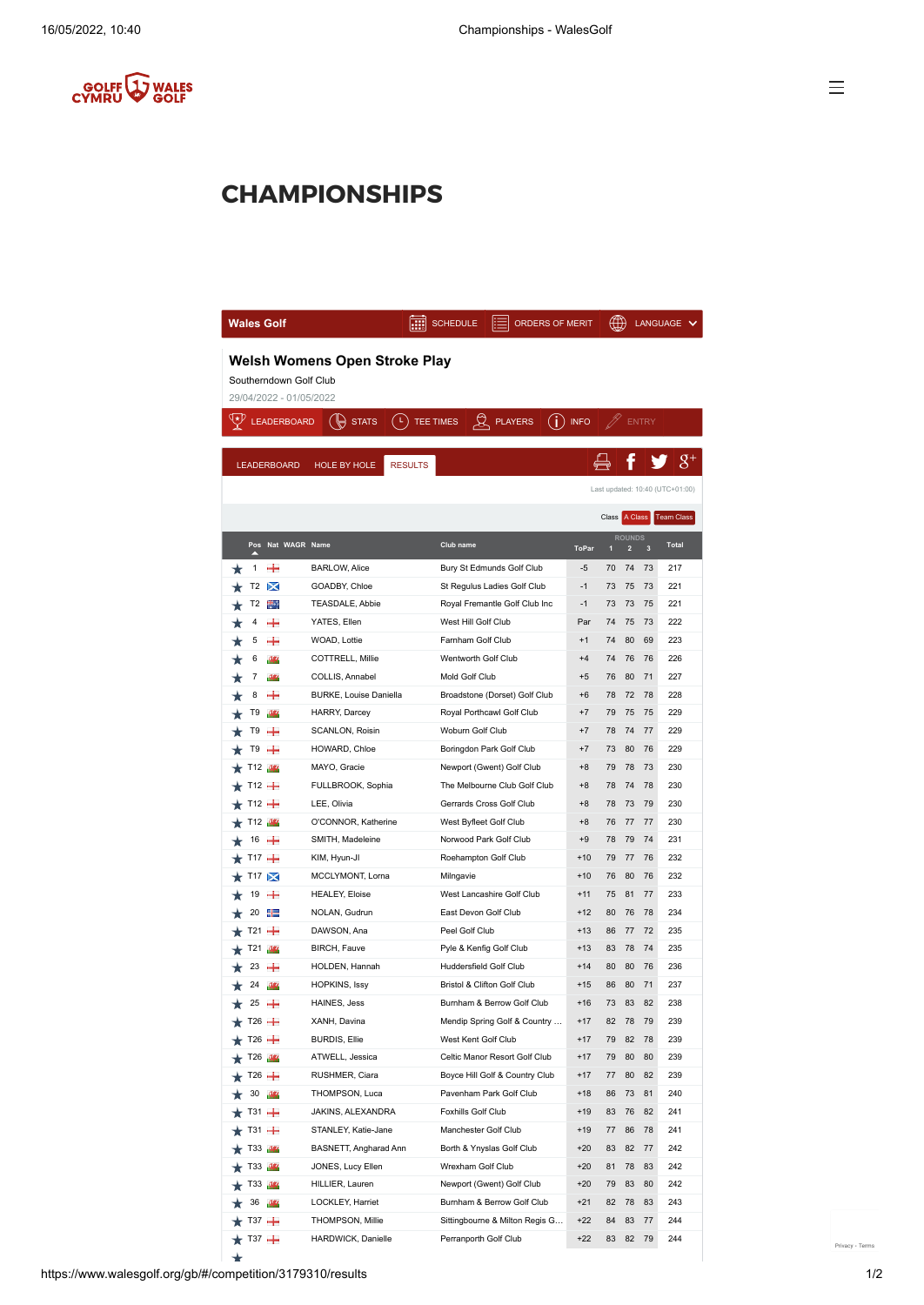

## **CHAMPIONSHIPS**

| <b>Wales Golf</b>                                                                         |                                       | <b>SCHEDULE</b>             | ORDERS OF MERIT                |              |               |                                          |                         | LANGUAGE                        |  |  |  |  |  |
|-------------------------------------------------------------------------------------------|---------------------------------------|-----------------------------|--------------------------------|--------------|---------------|------------------------------------------|-------------------------|---------------------------------|--|--|--|--|--|
| <b>Welsh Womens Open Stroke Play</b><br>Southerndown Golf Club<br>29/04/2022 - 01/05/2022 |                                       |                             |                                |              |               |                                          |                         |                                 |  |  |  |  |  |
| ∖∗ط<br><b>LEADERBOARD</b>                                                                 | ( L )<br><b>STATS</b>                 | ¤<br>TEE TIMES              | (i)<br><b>PLAYERS</b>          | <b>INFO</b>  |               | <b>ENTRY</b>                             |                         |                                 |  |  |  |  |  |
|                                                                                           |                                       |                             |                                |              |               |                                          |                         |                                 |  |  |  |  |  |
| <b>LEADERBOARD</b>                                                                        | <b>HOLE BY HOLE</b><br><b>RESULTS</b> |                             |                                |              |               |                                          |                         |                                 |  |  |  |  |  |
|                                                                                           |                                       |                             |                                |              |               |                                          |                         | Last updated: 10:40 (UTC+01:00) |  |  |  |  |  |
|                                                                                           |                                       |                             |                                |              | Class A Class |                                          |                         | Team Class                      |  |  |  |  |  |
| Pos Nat WAGR Name                                                                         |                                       | Club name                   |                                | <b>ToPar</b> | П             | <b>ROUNDS</b><br>$\overline{\mathbf{c}}$ | $\overline{\mathbf{3}}$ | <b>Total</b>                    |  |  |  |  |  |
| +<br>1                                                                                    | <b>BARLOW, Alice</b>                  |                             | Bury St Edmunds Golf Club      | -5           | 70            | 74                                       | 73                      | 217                             |  |  |  |  |  |
| T2<br>×                                                                                   | GOADBY, Chloe                         |                             | St Regulus Ladies Golf Club    | $-1$         | 73            | 75                                       | 73                      | 221                             |  |  |  |  |  |
| T <sub>2</sub><br>H.                                                                      | TEASDALE, Abbie                       |                             | Royal Fremantle Golf Club Inc  | $-1$         | 73            | 73                                       | 75                      | 221                             |  |  |  |  |  |
| 4<br>÷                                                                                    | YATES, Ellen                          | West Hill Golf Club         |                                | Par          | 74            | 75                                       | 73                      | 222                             |  |  |  |  |  |
| 5<br>÷                                                                                    | WOAD, Lottie                          | Farnham Golf Club           |                                | $+1$         | 74            | 80                                       | 69                      | 223                             |  |  |  |  |  |
| 6<br>98                                                                                   | COTTRELL, Millie                      | Wentworth Golf Club         |                                | $+4$         | 74            | 76                                       | 76                      | 226                             |  |  |  |  |  |
| 7<br>989                                                                                  | COLLIS, Annabel                       | Mold Golf Club              |                                | +5           | 76            | 80                                       | 71                      | 227                             |  |  |  |  |  |
| 8<br>÷                                                                                    | <b>BURKE, Louise Daniella</b>         |                             | Broadstone (Dorset) Golf Club  | +6           | 78            | 72                                       | 78                      | 228                             |  |  |  |  |  |
| T9<br>989                                                                                 | HARRY, Darcey                         | Royal Porthcawl Golf Club   |                                | +7           | 79            | 75                                       | 75                      | 229                             |  |  |  |  |  |
| T9<br>÷                                                                                   | SCANLON, Roisin                       | Woburn Golf Club            |                                | $+7$         | 78            | 74                                       | 77                      | 229                             |  |  |  |  |  |
| T9<br>÷                                                                                   | HOWARD, Chloe                         | Boringdon Park Golf Club    |                                | $+7$         | 73            | 80                                       | 76                      | 229                             |  |  |  |  |  |
| T12<br>364                                                                                | MAYO, Gracie                          | Newport (Gwent) Golf Club   |                                | $+8$         | 79            | 78                                       | 73                      | 230                             |  |  |  |  |  |
| T12 $+$                                                                                   | FULLBROOK, Sophia                     |                             | The Melbourne Club Golf Club   | +8           | 78            | 74                                       | 78                      | 230                             |  |  |  |  |  |
| T12 <del>+</del><br>LEE, Olivia                                                           |                                       | Gerrards Cross Golf Club    |                                | +8           | 78            | 73                                       | 79                      | 230                             |  |  |  |  |  |
| T12 <b>15</b>                                                                             | O'CONNOR, Katherine                   | West Byfleet Golf Club      |                                | +8           | 76            | 77                                       | 77                      | 230                             |  |  |  |  |  |
| ÷<br>16                                                                                   | SMITH, Madeleine                      | Norwood Park Golf Club      |                                | $+9$         | 78            | 79                                       | 74                      | 231                             |  |  |  |  |  |
| T17 $+$                                                                                   | KIM, Hyun-JI                          | Roehampton Golf Club        |                                | $+10$        | 79            | 77                                       | 76                      | 232                             |  |  |  |  |  |
| $T17 \times$                                                                              | MCCLYMONT, Lorna                      | Milngavie                   |                                | $+10$        | 76            | 80                                       | 76                      | 232                             |  |  |  |  |  |
| 19<br>÷                                                                                   | HEALEY, Eloise                        | West Lancashire Golf Club   |                                | +11          | 75            | 81                                       | 77                      | 233                             |  |  |  |  |  |
| 20<br>指                                                                                   | NOLAN, Gudrun                         | East Devon Golf Club        |                                | $+12$        | 80            | 76                                       | 78                      | 234                             |  |  |  |  |  |
| $T21 +$                                                                                   | DAWSON, Ana                           | Peel Golf Club              |                                | $+13$        | 86            | 77                                       | 72                      | 235                             |  |  |  |  |  |
| T21<br>989                                                                                | BIRCH, Fauve                          | Pyle & Kenfig Golf Club     |                                | $+13$        | 83            | 78                                       | 74                      | 235                             |  |  |  |  |  |
| 23<br>÷                                                                                   | HOLDEN, Hannah                        | Huddersfield Golf Club      |                                | $+14$        | 80            | 80                                       | 76                      | 236                             |  |  |  |  |  |
| 24<br>989                                                                                 | HOPKINS, Issy                         | Bristol & Clifton Golf Club |                                | $+15$        | 86            | 80                                       | 71                      | 237                             |  |  |  |  |  |
| $25 +$                                                                                    | HAINES, Jess                          |                             | Burnham & Berrow Golf Club     | $+16$        | 73            | 83                                       | 82                      | 238                             |  |  |  |  |  |
| $r$ T26 $+$                                                                               | XANH, Davina                          |                             | Mendip Spring Golf & Country   | $+17$        | 82            | 78                                       | 79                      | 239                             |  |  |  |  |  |
| $T26 +$                                                                                   | <b>BURDIS, Ellie</b>                  | West Kent Golf Club         |                                | $+17$        | 79            | 82                                       | 78                      | 239                             |  |  |  |  |  |
| T26 <b>16</b>                                                                             | ATWELL, Jessica                       |                             | Celtic Manor Resort Golf Club  | $+17$        | 79            | 80                                       | 80                      | 239                             |  |  |  |  |  |
| $T26 +$                                                                                   | RUSHMER, Ciara                        |                             | Boyce Hill Golf & Country Club | $+17$        | 77            | 80                                       | 82                      | 239                             |  |  |  |  |  |
| 30<br>98                                                                                  | THOMPSON, Luca                        | Pavenham Park Golf Club     |                                | $+18$        | 86            | 73                                       | 81                      | 240                             |  |  |  |  |  |
| $T31 +$                                                                                   | JAKINS, ALEXANDRA                     | Foxhills Golf Club          |                                | $+19$        | 83            | 76                                       | 82                      | 241                             |  |  |  |  |  |
| $T31 +$                                                                                   | STANLEY, Katie-Jane                   | Manchester Golf Club        |                                | $+19$        | 77            | 86                                       | 78                      | 241                             |  |  |  |  |  |
| T33 <b>M</b>                                                                              | BASNETT, Angharad Ann                 | Borth & Ynyslas Golf Club   |                                | $+20$        | 83            | 82                                       | 77                      | 242                             |  |  |  |  |  |
| T33 <b>15</b>                                                                             | JONES, Lucy Ellen                     | Wrexham Golf Club           |                                | $+20$        | 81            | 78                                       | 83                      | 242                             |  |  |  |  |  |
| T33 <b>M</b>                                                                              | HILLIER, Lauren                       | Newport (Gwent) Golf Club   |                                | $+20$        | 79            | 83                                       | 80                      | 242                             |  |  |  |  |  |
| 36                                                                                        | LOCKLEY, Harriet                      |                             | Burnham & Berrow Golf Club     | $+21$        | 82            | 78                                       | 83                      | 243                             |  |  |  |  |  |
| тз7 — —                                                                                   | THOMPSON, Millie                      |                             | Sittingbourne & Milton Regis G | $+22$        | 84            | 83                                       | 77                      | 244                             |  |  |  |  |  |
| тз7 — —                                                                                   | HARDWICK, Danielle                    | Perranporth Golf Club       |                                | $+22$        | 83            | 82                                       | 79                      | 244                             |  |  |  |  |  |

 $\rightarrow$ 

[Privacy](https://www.google.com/intl/en/policies/privacy/) - [Terms](https://www.google.com/intl/en/policies/terms/)